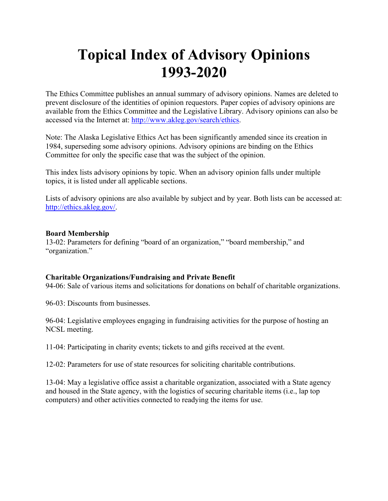# **Topical Index of Advisory Opinions 1993-2020**

The Ethics Committee publishes an annual summary of advisory opinions. Names are deleted to prevent disclosure of the identities of opinion requestors. Paper copies of advisory opinions are available from the Ethics Committee and the Legislative Library. Advisory opinions can also be accessed via the Internet at: [http://www.akleg.gov/search/ethics.](http://www.legis.state.ak.us/search/ethics)

Note: The Alaska Legislative Ethics Act has been significantly amended since its creation in 1984, superseding some advisory opinions. Advisory opinions are binding on the Ethics Committee for only the specific case that was the subject of the opinion.

This index lists advisory opinions by topic. When an advisory opinion falls under multiple topics, it is listed under all applicable sections.

Lists of advisory opinions are also available by subject and by year. Both lists can be accessed at: [http://ethics.akleg.gov/.](http://ethics.akleg.gov/)

# **Board Membership**

13-02: Parameters for defining "board of an organization," "board membership," and "organization."

# **Charitable Organizations/Fundraising and Private Benefit**

94-06: Sale of various items and solicitations for donations on behalf of charitable organizations.

96-03: Discounts from businesses.

96-04: Legislative employees engaging in fundraising activities for the purpose of hosting an NCSL meeting.

11-04: Participating in charity events; tickets to and gifts received at the event.

12-02: Parameters for use of state resources for soliciting charitable contributions.

13-04: May a legislative office assist a charitable organization, associated with a State agency and housed in the State agency, with the logistics of securing charitable items (i.e., lap top computers) and other activities connected to readying the items for use.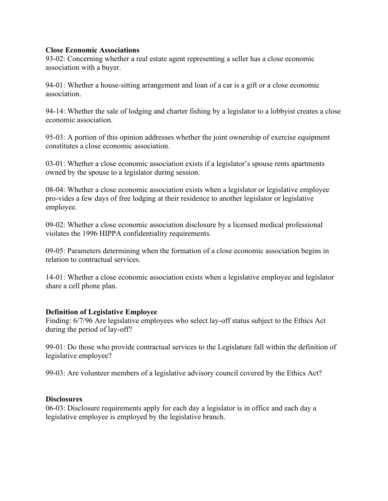# **Close Economic Associations**

93-02: Concerning whether a real estate agent representing a seller has a close economic association with a buyer.

94-01: Whether a house-sitting arrangement and loan of a car is a gift or a close economic association.

94-14: Whether the sale of lodging and charter fishing by a legislator to a lobbyist creates a close economic association.

95-03: A portion of this opinion addresses whether the joint ownership of exercise equipment constitutes a close economic association.

03-01: Whether a close economic association exists if a legislator's spouse rents apartments owned by the spouse to a legislator during session.

08-04: Whether a close economic association exists when a legislator or legislative employee pro-vides a few days of free lodging at their residence to another legislator or legislative employee.

09-02: Whether a close economic association disclosure by a licensed medical professional violates the 1996 HIPPA confidentiality requirements.

09-05: Parameters determining when the formation of a close economic association begins in relation to contractual services.

14-01: Whether a close economic association exists when a legislative employee and legislator share a cell phone plan.

# **Definition of Legislative Employee**

Finding: 6/7/96 Are legislative employees who select lay-off status subject to the Ethics Act during the period of lay-off?

99-01: Do those who provide contractual services to the Legislature fall within the definition of legislative employee?

99-03: Are volunteer members of a legislative advisory council covered by the Ethics Act?

# **Disclosures**

06-03: Disclosure requirements apply for each day a legislator is in office and each day a legislative employee is employed by the legislative branch.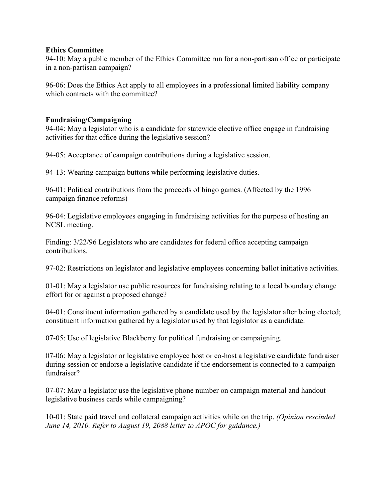# **Ethics Committee**

94-10: May a public member of the Ethics Committee run for a non-partisan office or participate in a non-partisan campaign?

96-06: Does the Ethics Act apply to all employees in a professional limited liability company which contracts with the committee?

# **Fundraising/Campaigning**

94-04: May a legislator who is a candidate for statewide elective office engage in fundraising activities for that office during the legislative session?

94-05: Acceptance of campaign contributions during a legislative session.

94-13: Wearing campaign buttons while performing legislative duties.

96-01: Political contributions from the proceeds of bingo games. (Affected by the 1996 campaign finance reforms)

96-04: Legislative employees engaging in fundraising activities for the purpose of hosting an NCSL meeting.

Finding: 3/22/96 Legislators who are candidates for federal office accepting campaign contributions.

97-02: Restrictions on legislator and legislative employees concerning ballot initiative activities.

01-01: May a legislator use public resources for fundraising relating to a local boundary change effort for or against a proposed change?

04-01: Constituent information gathered by a candidate used by the legislator after being elected; constituent information gathered by a legislator used by that legislator as a candidate.

07-05: Use of legislative Blackberry for political fundraising or campaigning.

07-06: May a legislator or legislative employee host or co-host a legislative candidate fundraiser during session or endorse a legislative candidate if the endorsement is connected to a campaign fundraiser?

07-07: May a legislator use the legislative phone number on campaign material and handout legislative business cards while campaigning?

10-01: State paid travel and collateral campaign activities while on the trip. *(Opinion rescinded June 14, 2010. Refer to August 19, 2088 letter to APOC for guidance.)*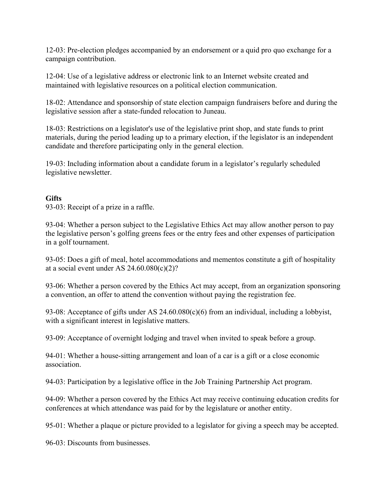12-03: Pre-election pledges accompanied by an endorsement or a quid pro quo exchange for a campaign contribution.

12-04: Use of a legislative address or electronic link to an Internet website created and maintained with legislative resources on a political election communication.

18-02: Attendance and sponsorship of state election campaign fundraisers before and during the legislative session after a state-funded relocation to Juneau.

18-03: Restrictions on a legislator's use of the legislative print shop, and state funds to print materials, during the period leading up to a primary election, if the legislator is an independent candidate and therefore participating only in the general election.

19-03: Including information about a candidate forum in a legislator's regularly scheduled legislative newsletter.

# **Gifts**

93-03: Receipt of a prize in a raffle.

93-04: Whether a person subject to the Legislative Ethics Act may allow another person to pay the legislative person's golfing greens fees or the entry fees and other expenses of participation in a golf tournament.

93-05: Does a gift of meal, hotel accommodations and mementos constitute a gift of hospitality at a social event under AS 24.60.080(c)(2)?

93-06: Whether a person covered by the Ethics Act may accept, from an organization sponsoring a convention, an offer to attend the convention without paying the registration fee.

93-08: Acceptance of gifts under AS 24.60.080(c)(6) from an individual, including a lobbyist, with a significant interest in legislative matters.

93-09: Acceptance of overnight lodging and travel when invited to speak before a group.

94-01: Whether a house-sitting arrangement and loan of a car is a gift or a close economic association.

94-03: Participation by a legislative office in the Job Training Partnership Act program.

94-09: Whether a person covered by the Ethics Act may receive continuing education credits for conferences at which attendance was paid for by the legislature or another entity.

95-01: Whether a plaque or picture provided to a legislator for giving a speech may be accepted.

96-03: Discounts from businesses.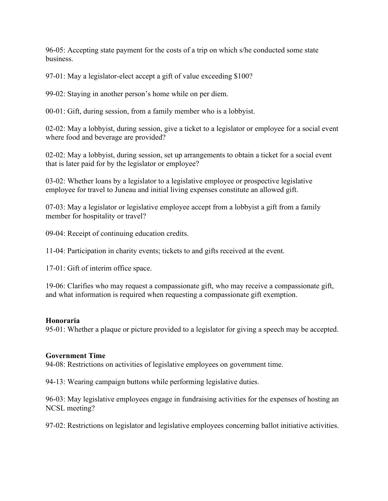96-05: Accepting state payment for the costs of a trip on which s/he conducted some state business.

97-01: May a legislator-elect accept a gift of value exceeding \$100?

99-02: Staying in another person's home while on per diem.

00-01: Gift, during session, from a family member who is a lobbyist.

02-02: May a lobbyist, during session, give a ticket to a legislator or employee for a social event where food and beverage are provided?

02-02: May a lobbyist, during session, set up arrangements to obtain a ticket for a social event that is later paid for by the legislator or employee?

03-02: Whether loans by a legislator to a legislative employee or prospective legislative employee for travel to Juneau and initial living expenses constitute an allowed gift.

07-03: May a legislator or legislative employee accept from a lobbyist a gift from a family member for hospitality or travel?

09-04: Receipt of continuing education credits.

11-04: Participation in charity events; tickets to and gifts received at the event.

17-01: Gift of interim office space.

19-06: Clarifies who may request a compassionate gift, who may receive a compassionate gift, and what information is required when requesting a compassionate gift exemption.

# **Honoraria**

95-01: Whether a plaque or picture provided to a legislator for giving a speech may be accepted.

#### **Government Time**

94-08: Restrictions on activities of legislative employees on government time.

94-13: Wearing campaign buttons while performing legislative duties.

96-03: May legislative employees engage in fundraising activities for the expenses of hosting an NCSL meeting?

97-02: Restrictions on legislator and legislative employees concerning ballot initiative activities.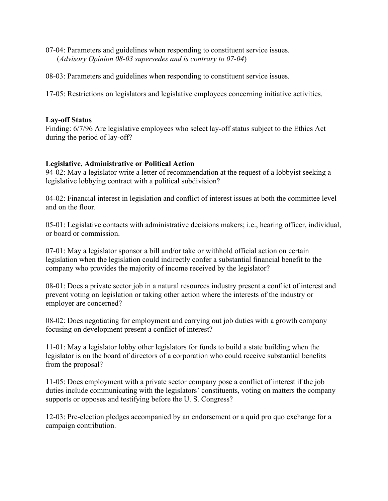- 07-04: Parameters and guidelines when responding to constituent service issues. (*Advisory Opinion 08-03 supersedes and is contrary to 07-04*)
- 08-03: Parameters and guidelines when responding to constituent service issues.

17-05: Restrictions on legislators and legislative employees concerning initiative activities.

# **Lay-off Status**

Finding: 6/7/96 Are legislative employees who select lay-off status subject to the Ethics Act during the period of lay-off?

# **Legislative, Administrative or Political Action**

94-02: May a legislator write a letter of recommendation at the request of a lobbyist seeking a legislative lobbying contract with a political subdivision?

04-02: Financial interest in legislation and conflict of interest issues at both the committee level and on the floor.

05-01: Legislative contacts with administrative decisions makers; i.e., hearing officer, individual, or board or commission.

07-01: May a legislator sponsor a bill and/or take or withhold official action on certain legislation when the legislation could indirectly confer a substantial financial benefit to the company who provides the majority of income received by the legislator?

08-01: Does a private sector job in a natural resources industry present a conflict of interest and prevent voting on legislation or taking other action where the interests of the industry or employer are concerned?

08-02: Does negotiating for employment and carrying out job duties with a growth company focusing on development present a conflict of interest?

11-01: May a legislator lobby other legislators for funds to build a state building when the legislator is on the board of directors of a corporation who could receive substantial benefits from the proposal?

11-05: Does employment with a private sector company pose a conflict of interest if the job duties include communicating with the legislators' constituents, voting on matters the company supports or opposes and testifying before the U. S. Congress?

12-03: Pre-election pledges accompanied by an endorsement or a quid pro quo exchange for a campaign contribution.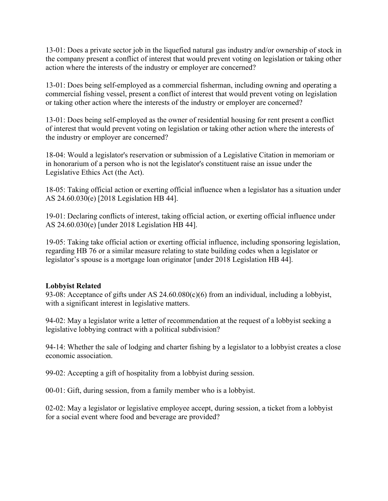13-01: Does a private sector job in the liquefied natural gas industry and/or ownership of stock in the company present a conflict of interest that would prevent voting on legislation or taking other action where the interests of the industry or employer are concerned?

13-01: Does being self-employed as a commercial fisherman, including owning and operating a commercial fishing vessel, present a conflict of interest that would prevent voting on legislation or taking other action where the interests of the industry or employer are concerned?

13-01: Does being self-employed as the owner of residential housing for rent present a conflict of interest that would prevent voting on legislation or taking other action where the interests of the industry or employer are concerned?

18-04: Would a legislator's reservation or submission of a Legislative Citation in memoriam or in honorarium of a person who is not the legislator's constituent raise an issue under the Legislative Ethics Act (the Act).

18-05: Taking official action or exerting official influence when a legislator has a situation under AS 24.60.030(e) [2018 Legislation HB 44].

19-01: Declaring conflicts of interest, taking official action, or exerting official influence under AS 24.60.030(e) [under 2018 Legislation HB 44].

19-05: Taking take official action or exerting official influence, including sponsoring legislation, regarding HB 76 or a similar measure relating to state building codes when a legislator or legislator's spouse is a mortgage loan originator [under 2018 Legislation HB 44].

# **Lobbyist Related**

93-08: Acceptance of gifts under AS 24.60.080(c)(6) from an individual, including a lobbyist, with a significant interest in legislative matters.

94-02: May a legislator write a letter of recommendation at the request of a lobbyist seeking a legislative lobbying contract with a political subdivision?

94-14: Whether the sale of lodging and charter fishing by a legislator to a lobbyist creates a close economic association.

99-02: Accepting a gift of hospitality from a lobbyist during session.

00-01: Gift, during session, from a family member who is a lobbyist.

02-02: May a legislator or legislative employee accept, during session, a ticket from a lobbyist for a social event where food and beverage are provided?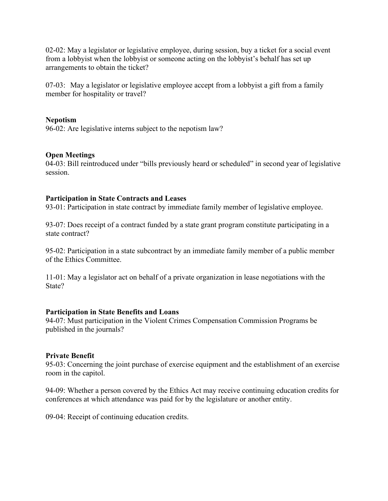02-02: May a legislator or legislative employee, during session, buy a ticket for a social event from a lobbyist when the lobbyist or someone acting on the lobbyist's behalf has set up arrangements to obtain the ticket?

07-03: May a legislator or legislative employee accept from a lobbyist a gift from a family member for hospitality or travel?

# **Nepotism**

96-02: Are legislative interns subject to the nepotism law?

# **Open Meetings**

04-03: Bill reintroduced under "bills previously heard or scheduled" in second year of legislative session.

# **Participation in State Contracts and Leases**

93-01: Participation in state contract by immediate family member of legislative employee.

93-07: Does receipt of a contract funded by a state grant program constitute participating in a state contract?

95-02: Participation in a state subcontract by an immediate family member of a public member of the Ethics Committee.

11-01: May a legislator act on behalf of a private organization in lease negotiations with the State?

# **Participation in State Benefits and Loans**

94-07: Must participation in the Violent Crimes Compensation Commission Programs be published in the journals?

# **Private Benefit**

95-03: Concerning the joint purchase of exercise equipment and the establishment of an exercise room in the capitol.

94-09: Whether a person covered by the Ethics Act may receive continuing education credits for conferences at which attendance was paid for by the legislature or another entity.

09-04: Receipt of continuing education credits.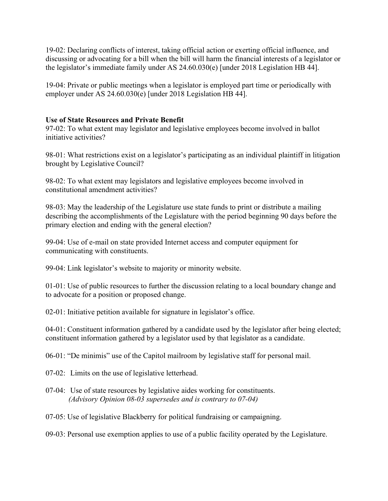19-02: Declaring conflicts of interest, taking official action or exerting official influence, and discussing or advocating for a bill when the bill will harm the financial interests of a legislator or the legislator's immediate family under AS 24.60.030(e) [under 2018 Legislation HB 44].

19-04: Private or public meetings when a legislator is employed part time or periodically with employer under AS 24.60.030(e) [under 2018 Legislation HB 44].

# **Use of State Resources and Private Benefit**

97-02: To what extent may legislator and legislative employees become involved in ballot initiative activities?

98-01: What restrictions exist on a legislator's participating as an individual plaintiff in litigation brought by Legislative Council?

98-02: To what extent may legislators and legislative employees become involved in constitutional amendment activities?

98-03: May the leadership of the Legislature use state funds to print or distribute a mailing describing the accomplishments of the Legislature with the period beginning 90 days before the primary election and ending with the general election?

99-04: Use of e-mail on state provided Internet access and computer equipment for communicating with constituents.

99-04: Link legislator's website to majority or minority website.

01-01: Use of public resources to further the discussion relating to a local boundary change and to advocate for a position or proposed change.

02-01: Initiative petition available for signature in legislator's office.

04-01: Constituent information gathered by a candidate used by the legislator after being elected; constituent information gathered by a legislator used by that legislator as a candidate.

06-01: "De minimis" use of the Capitol mailroom by legislative staff for personal mail.

07-02: Limits on the use of legislative letterhead.

07-04: Use of state resources by legislative aides working for constituents. *(Advisory Opinion 08-03 supersedes and is contrary to 07-04)*

07-05: Use of legislative Blackberry for political fundraising or campaigning.

09-03: Personal use exemption applies to use of a public facility operated by the Legislature.